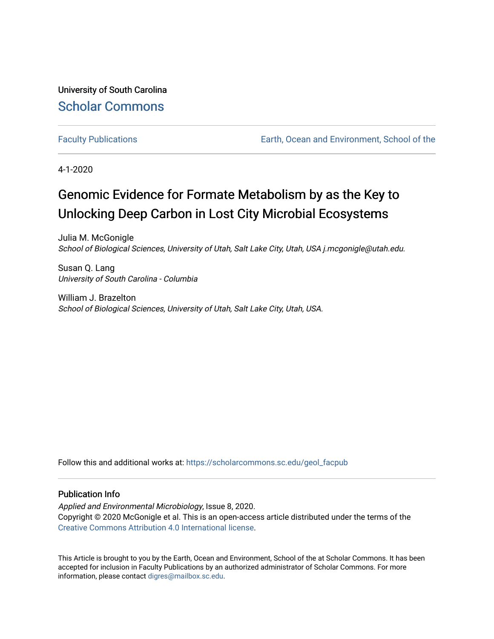University of South Carolina [Scholar Commons](https://scholarcommons.sc.edu/) 

[Faculty Publications](https://scholarcommons.sc.edu/geol_facpub) [Earth, Ocean and Environment, School of the](https://scholarcommons.sc.edu/geol) 

4-1-2020

# Genomic Evidence for Formate Metabolism by as the Key to Unlocking Deep Carbon in Lost City Microbial Ecosystems

Julia M. McGonigle School of Biological Sciences, University of Utah, Salt Lake City, Utah, USA j.mcgonigle@utah.edu.

Susan Q. Lang University of South Carolina - Columbia

William J. Brazelton School of Biological Sciences, University of Utah, Salt Lake City, Utah, USA.

Follow this and additional works at: [https://scholarcommons.sc.edu/geol\\_facpub](https://scholarcommons.sc.edu/geol_facpub?utm_source=scholarcommons.sc.edu%2Fgeol_facpub%2F139&utm_medium=PDF&utm_campaign=PDFCoverPages) 

### Publication Info

Applied and Environmental Microbiology, Issue 8, 2020. Copyright © 2020 McGonigle et al. This is an open-access article distributed under the terms of the [Creative Commons Attribution 4.0 International license.](https://creativecommons.org/licenses/by/4.0/)

This Article is brought to you by the Earth, Ocean and Environment, School of the at Scholar Commons. It has been accepted for inclusion in Faculty Publications by an authorized administrator of Scholar Commons. For more information, please contact [digres@mailbox.sc.edu.](mailto:digres@mailbox.sc.edu)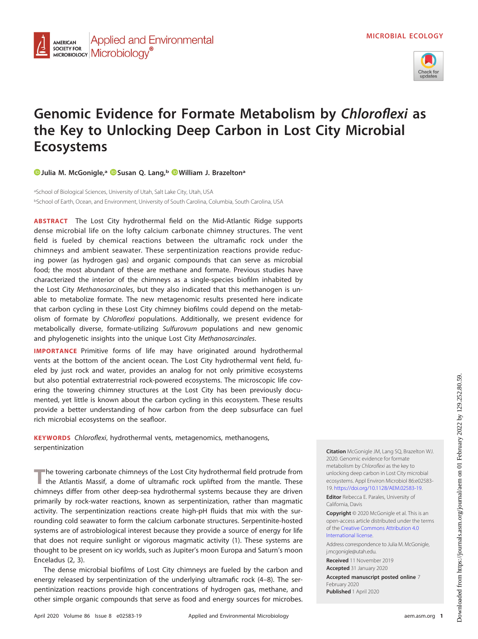

## **Genomic Evidence for Formate Metabolism by Chloroflexi as the Key to Unlocking Deep Carbon in Lost City Microbial Ecosystems**

**[Julia M. McGonigle,a](https://orcid.org/0000-0002-7689-8924) [Susan Q. Lang,b](https://orcid.org/0000-0003-0873-6082) [William J. Brazeltona](https://orcid.org/0000-0003-0933-0148)**

<sup>a</sup>School of Biological Sciences, University of Utah, Salt Lake City, Utah, USA <sup>b</sup>School of Earth, Ocean, and Environment, University of South Carolina, Columbia, South Carolina, USA

**ABSTRACT** The Lost City hydrothermal field on the Mid-Atlantic Ridge supports dense microbial life on the lofty calcium carbonate chimney structures. The vent field is fueled by chemical reactions between the ultramafic rock under the chimneys and ambient seawater. These serpentinization reactions provide reducing power (as hydrogen gas) and organic compounds that can serve as microbial food; the most abundant of these are methane and formate. Previous studies have characterized the interior of the chimneys as a single-species biofilm inhabited by the Lost City Methanosarcinales, but they also indicated that this methanogen is unable to metabolize formate. The new metagenomic results presented here indicate that carbon cycling in these Lost City chimney biofilms could depend on the metabolism of formate by Chloroflexi populations. Additionally, we present evidence for metabolically diverse, formate-utilizing Sulfurovum populations and new genomic and phylogenetic insights into the unique Lost City Methanosarcinales.

**IMPORTANCE** Primitive forms of life may have originated around hydrothermal vents at the bottom of the ancient ocean. The Lost City hydrothermal vent field, fueled by just rock and water, provides an analog for not only primitive ecosystems but also potential extraterrestrial rock-powered ecosystems. The microscopic life covering the towering chimney structures at the Lost City has been previously documented, yet little is known about the carbon cycling in this ecosystem. These results provide a better understanding of how carbon from the deep subsurface can fuel rich microbial ecosystems on the seafloor.

**KEYWORDS** Chloroflexi, hydrothermal vents, metagenomics, methanogens, serpentinization

The towering carbonate chimneys of the Lost City hydrothermal field protrude from the Atlantis Massif, a dome of ultramafic rock uplifted from the mantle. These chimneys differ from other deep-sea hydrothermal systems because they are driven primarily by rock-water reactions, known as serpentinization, rather than magmatic activity. The serpentinization reactions create high-pH fluids that mix with the surrounding cold seawater to form the calcium carbonate structures. Serpentinite-hosted systems are of astrobiological interest because they provide a source of energy for life that does not require sunlight or vigorous magmatic activity [\(1\)](#page-11-0). These systems are thought to be present on icy worlds, such as Jupiter's moon Europa and Saturn's moon Enceladus [\(2,](#page-11-1) [3\)](#page-11-2).

The dense microbial biofilms of Lost City chimneys are fueled by the carbon and energy released by serpentinization of the underlying ultramafic rock [\(4](#page-11-3)[–](#page-11-4)[8\)](#page-11-5). The serpentinization reactions provide high concentrations of hydrogen gas, methane, and other simple organic compounds that serve as food and energy sources for microbes.

**Citation** McGonigle JM, Lang SQ, Brazelton WJ. 2020. Genomic evidence for formate metabolism by Chloroflexi as the key to unlocking deep carbon in Lost City microbial ecosystems. Appl Environ Microbiol 86:e02583- 19. [https://doi.org/10.1128/AEM.02583-19.](https://doi.org/10.1128/AEM.02583-19)

**Editor** Rebecca E. Parales, University of California, Davis

**Copyright** © 2020 McGonigle et al. This is an open-access article distributed under the terms of the [Creative Commons Attribution 4.0](https://creativecommons.org/licenses/by/4.0/) [International license.](https://creativecommons.org/licenses/by/4.0/)

Address correspondence to Julia M. McGonigle, [j.mcgonigle@utah.edu.](mailto:j.mcgonigle@utah.edu)

**Received** 11 November 2019 **Accepted** 31 January 2020

**Accepted manuscript posted online** 7 February 2020 **Published** 1 April 2020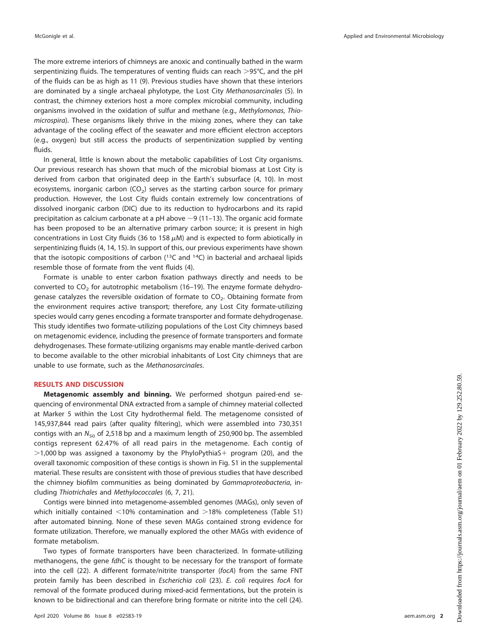The more extreme interiors of chimneys are anoxic and continually bathed in the warm serpentinizing fluids. The temperatures of venting fluids can reach >95°C, and the pH of the fluids can be as high as 11 [\(9\)](#page-11-6). Previous studies have shown that these interiors are dominated by a single archaeal phylotype, the Lost City Methanosarcinales [\(5\)](#page-11-7). In contrast, the chimney exteriors host a more complex microbial community, including organisms involved in the oxidation of sulfur and methane (e.g., Methylomonas, Thiomicrospira). These organisms likely thrive in the mixing zones, where they can take advantage of the cooling effect of the seawater and more efficient electron acceptors (e.g., oxygen) but still access the products of serpentinization supplied by venting fluids.

In general, little is known about the metabolic capabilities of Lost City organisms. Our previous research has shown that much of the microbial biomass at Lost City is derived from carbon that originated deep in the Earth's subsurface [\(4,](#page-11-3) [10\)](#page-11-8). In most ecosystems, inorganic carbon ( $CO<sub>2</sub>$ ) serves as the starting carbon source for primary production. However, the Lost City fluids contain extremely low concentrations of dissolved inorganic carbon (DIC) due to its reduction to hydrocarbons and its rapid precipitation as calcium carbonate at a pH above  $\sim$ 9 [\(11](#page-11-9)[–](#page-11-10)[13\)](#page-11-11). The organic acid formate has been proposed to be an alternative primary carbon source; it is present in high concentrations in Lost City fluids (36 to 158  $\mu$ M) and is expected to form abiotically in serpentinizing fluids [\(4,](#page-11-3) [14,](#page-11-12) [15\)](#page-11-13). In support of this, our previous experiments have shown that the isotopic compositions of carbon  $(^{13}C$  and  $^{14}C)$  in bacterial and archaeal lipids resemble those of formate from the vent fluids [\(4\)](#page-11-3).

Formate is unable to enter carbon fixation pathways directly and needs to be converted to  $CO<sub>2</sub>$  for autotrophic metabolism [\(16](#page-11-14)[–](#page-11-15)[19\)](#page-11-16). The enzyme formate dehydrogenase catalyzes the reversible oxidation of formate to  $CO<sub>2</sub>$ . Obtaining formate from the environment requires active transport; therefore, any Lost City formate-utilizing species would carry genes encoding a formate transporter and formate dehydrogenase. This study identifies two formate-utilizing populations of the Lost City chimneys based on metagenomic evidence, including the presence of formate transporters and formate dehydrogenases. These formate-utilizing organisms may enable mantle-derived carbon to become available to the other microbial inhabitants of Lost City chimneys that are unable to use formate, such as the Methanosarcinales.

#### **RESULTS AND DISCUSSION**

**Metagenomic assembly and binning.** We performed shotgun paired-end sequencing of environmental DNA extracted from a sample of chimney material collected at Marker 5 within the Lost City hydrothermal field. The metagenome consisted of 145,937,844 read pairs (after quality filtering), which were assembled into 730,351 contigs with an  $N_{50}$  of 2,518 bp and a maximum length of 250,900 bp. The assembled contigs represent 62.47% of all read pairs in the metagenome. Each contig of  $>$  1,000 bp was assigned a taxonomy by the PhyloPythiaS+ program [\(20\)](#page-11-17), and the overall taxonomic composition of these contigs is shown in Fig. S1 in the supplemental material. These results are consistent with those of previous studies that have described the chimney biofilm communities as being dominated by Gammaproteobacteria, including Thiotrichales and Methylococcales [\(6,](#page-11-18) [7,](#page-11-4) [21\)](#page-11-19).

Contigs were binned into metagenome-assembled genomes (MAGs), only seven of which initially contained  $\leq$ 10% contamination and  $>$ 18% completeness (Table S1) after automated binning. None of these seven MAGs contained strong evidence for formate utilization. Therefore, we manually explored the other MAGs with evidence of formate metabolism.

Two types of formate transporters have been characterized. In formate-utilizing methanogens, the gene fdhC is thought to be necessary for the transport of formate into the cell [\(22\)](#page-11-20). A different formate/nitrite transporter (focA) from the same FNT protein family has been described in Escherichia coli [\(23\)](#page-11-21). E. coli requires focA for removal of the formate produced during mixed-acid fermentations, but the protein is known to be bidirectional and can therefore bring formate or nitrite into the cell [\(24\)](#page-11-22).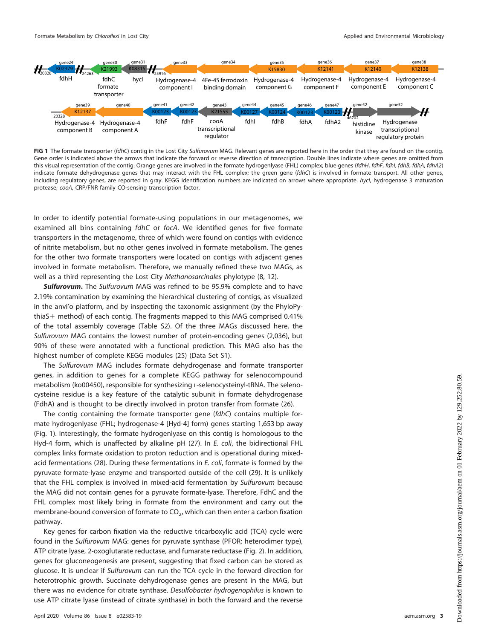

<span id="page-3-0"></span>FIG 1 The formate transporter (fdhC) contig in the Lost City Sulfurovum MAG. Relevant genes are reported here in the order that they are found on the contig. Gene order is indicated above the arrows that indicate the forward or reverse direction of transcription. Double lines indicate where genes are omitted from this visual representation of the contig. Orange genes are involved in the formate hydrogenlyase (FHL) complex; blue genes (fdhH, fdhF, fdhI, fdhB, fdhA, fdhA2) indicate formate dehydrogenase genes that may interact with the FHL complex; the green gene (fdhC) is involved in formate transport. All other genes, including regulatory genes, are reported in gray. KEGG identification numbers are indicated on arrows where appropriate. hycl, hydrogenase 3 maturation protease; cooA, CRP/FNR family CO-sensing transcription factor.

In order to identify potential formate-using populations in our metagenomes, we examined all bins containing *fdhC* or *focA*. We identified genes for five formate transporters in the metagenome, three of which were found on contigs with evidence of nitrite metabolism, but no other genes involved in formate metabolism. The genes for the other two formate transporters were located on contigs with adjacent genes involved in formate metabolism. Therefore, we manually refined these two MAGs, as well as a third representing the Lost City Methanosarcinales phylotype [\(8,](#page-11-5) [12\)](#page-11-10).

*Sulfurovum***.** The Sulfurovum MAG was refined to be 95.9% complete and to have 2.19% contamination by examining the hierarchical clustering of contigs, as visualized in the anvi'o platform, and by inspecting the taxonomic assignment (by the PhyloPythiaS + method) of each contig. The fragments mapped to this MAG comprised  $0.41\%$ of the total assembly coverage (Table S2). Of the three MAGs discussed here, the Sulfurovum MAG contains the lowest number of protein-encoding genes (2,036), but 90% of these were annotated with a functional prediction. This MAG also has the highest number of complete KEGG modules [\(25\)](#page-11-23) (Data Set S1).

The Sulfurovum MAG includes formate dehydrogenase and formate transporter genes, in addition to genes for a complete KEGG pathway for selenocompound metabolism (ko00450), responsible for synthesizing L-selenocysteinyl-tRNA. The selenocysteine residue is a key feature of the catalytic subunit in formate dehydrogenase (FdhA) and is thought to be directly involved in proton transfer from formate [\(26\)](#page-11-24).

The contig containing the formate transporter gene (fdhC) contains multiple formate hydrogenlyase (FHL; hydrogenase-4 [Hyd-4] form) genes starting 1,653 bp away [\(Fig. 1\)](#page-3-0). Interestingly, the formate hydrogenlyase on this contig is homologous to the Hyd-4 form, which is unaffected by alkaline pH [\(27\)](#page-11-25). In E. coli, the bidirectional FHL complex links formate oxidation to proton reduction and is operational during mixed-acid fermentations [\(28\)](#page-11-26). During these fermentations in  $E$ . coli, formate is formed by the pyruvate formate-lyase enzyme and transported outside of the cell [\(29\)](#page-11-27). It is unlikely that the FHL complex is involved in mixed-acid fermentation by Sulfurovum because the MAG did not contain genes for a pyruvate formate-lyase. Therefore, FdhC and the FHL complex most likely bring in formate from the environment and carry out the membrane-bound conversion of formate to  $CO<sub>2</sub>$ , which can then enter a carbon fixation pathway.

Key genes for carbon fixation via the reductive tricarboxylic acid (TCA) cycle were found in the Sulfurovum MAG: genes for pyruvate synthase (PFOR; heterodimer type), ATP citrate lyase, 2-oxoglutarate reductase, and fumarate reductase [\(Fig. 2\)](#page-4-0). In addition, genes for gluconeogenesis are present, suggesting that fixed carbon can be stored as glucose. It is unclear if Sulfurovum can run the TCA cycle in the forward direction for heterotrophic growth. Succinate dehydrogenase genes are present in the MAG, but there was no evidence for citrate synthase. Desulfobacter hydrogenophilus is known to use ATP citrate lyase (instead of citrate synthase) in both the forward and the reverse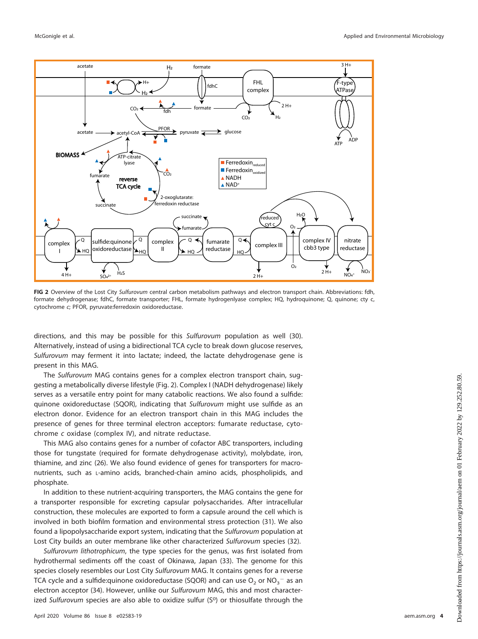

<span id="page-4-0"></span>**FIG 2** Overview of the Lost City Sulfurovum central carbon metabolism pathways and electron transport chain. Abbreviations: fdh, formate dehydrogenase; fdhC, formate transporter; FHL, formate hydrogenlyase complex; HQ, hydroquinone; Q, quinone; cty c, cytochrome c; PFOR, pyruvate:ferredoxin oxidoreductase.

directions, and this may be possible for this Sulfurovum population as well [\(30\)](#page-11-28). Alternatively, instead of using a bidirectional TCA cycle to break down glucose reserves, Sulfurovum may ferment it into lactate; indeed, the lactate dehydrogenase gene is present in this MAG.

The Sulfurovum MAG contains genes for a complex electron transport chain, suggesting a metabolically diverse lifestyle [\(Fig. 2\)](#page-4-0). Complex I (NADH dehydrogenase) likely serves as a versatile entry point for many catabolic reactions. We also found a sulfide: quinone oxidoreductase (SQOR), indicating that Sulfurovum might use sulfide as an electron donor. Evidence for an electron transport chain in this MAG includes the presence of genes for three terminal electron acceptors: fumarate reductase, cytochrome c oxidase (complex IV), and nitrate reductase.

This MAG also contains genes for a number of cofactor ABC transporters, including those for tungstate (required for formate dehydrogenase activity), molybdate, iron, thiamine, and zinc [\(26\)](#page-11-24). We also found evidence of genes for transporters for macronutrients, such as L-amino acids, branched-chain amino acids, phospholipids, and phosphate.

In addition to these nutrient-acquiring transporters, the MAG contains the gene for a transporter responsible for excreting capsular polysaccharides. After intracellular construction, these molecules are exported to form a capsule around the cell which is involved in both biofilm formation and environmental stress protection [\(31\)](#page-11-29). We also found a lipopolysaccharide export system, indicating that the Sulfurovum population at Lost City builds an outer membrane like other characterized Sulfurovum species [\(32\)](#page-11-30).

Sulfurovum lithotrophicum, the type species for the genus, was first isolated from hydrothermal sediments off the coast of Okinawa, Japan [\(33\)](#page-11-31). The genome for this species closely resembles our Lost City Sulfurovum MAG. It contains genes for a reverse TCA cycle and a sulfide:quinone oxidoreductase (SQOR) and can use  $\mathsf{O}_2$  or  $\mathsf{NO}_3^{-1}$  as an electron acceptor [\(34\)](#page-11-32). However, unlike our Sulfurovum MAG, this and most characterized Sulfurovum species are also able to oxidize sulfur ( $S<sup>0</sup>$ ) or thiosulfate through the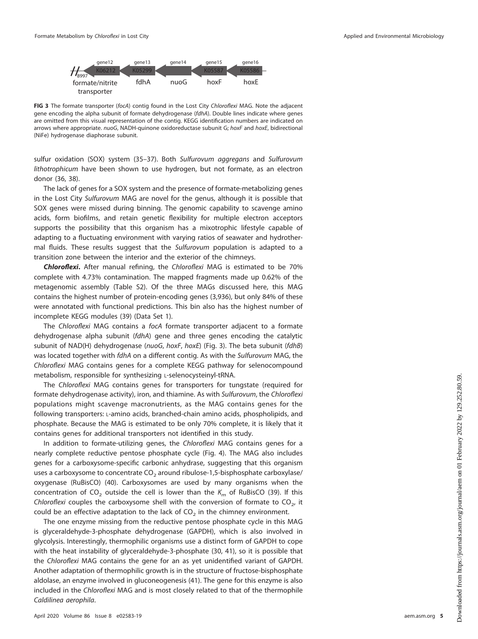

<span id="page-5-0"></span>**FIG 3** The formate transporter (focA) contig found in the Lost City Chloroflexi MAG. Note the adjacent gene encoding the alpha subunit of formate dehydrogenase (fdhA). Double lines indicate where genes are omitted from this visual representation of the contig. KEGG identification numbers are indicated on arrows where appropriate. nuoG, NADH-quinone oxidoreductase subunit G; hoxF and hoxE, bidirectional (NiFe) hydrogenase diaphorase subunit.

sulfur oxidation (SOX) system [\(35](#page-11-33)[–](#page-11-34)[37\)](#page-12-0). Both Sulfurovum aggregans and Sulfurovum lithotrophicum have been shown to use hydrogen, but not formate, as an electron donor [\(36,](#page-11-34) [38\)](#page-12-1).

The lack of genes for a SOX system and the presence of formate-metabolizing genes in the Lost City Sulfurovum MAG are novel for the genus, although it is possible that SOX genes were missed during binning. The genomic capability to scavenge amino acids, form biofilms, and retain genetic flexibility for multiple electron acceptors supports the possibility that this organism has a mixotrophic lifestyle capable of adapting to a fluctuating environment with varying ratios of seawater and hydrothermal fluids. These results suggest that the Sulfurovum population is adapted to a transition zone between the interior and the exterior of the chimneys.

*Chloroflexi***.** After manual refining, the Chloroflexi MAG is estimated to be 70% complete with 4.73% contamination. The mapped fragments made up 0.62% of the metagenomic assembly (Table S2). Of the three MAGs discussed here, this MAG contains the highest number of protein-encoding genes (3,936), but only 84% of these were annotated with functional predictions. This bin also has the highest number of incomplete KEGG modules [\(39\)](#page-12-2) (Data Set 1).

The Chloroflexi MAG contains a focA formate transporter adjacent to a formate dehydrogenase alpha subunit (fdhA) gene and three genes encoding the catalytic subunit of NAD(H) dehydrogenase (nuoG, hoxF, hoxE) [\(Fig. 3\)](#page-5-0). The beta subunit (fdhB) was located together with fdhA on a different contig. As with the Sulfurovum MAG, the Chloroflexi MAG contains genes for a complete KEGG pathway for selenocompound metabolism, responsible for synthesizing L-selenocysteinyl-tRNA.

The Chloroflexi MAG contains genes for transporters for tungstate (required for formate dehydrogenase activity), iron, and thiamine. As with Sulfurovum, the Chloroflexi populations might scavenge macronutrients, as the MAG contains genes for the following transporters: L-amino acids, branched-chain amino acids, phospholipids, and phosphate. Because the MAG is estimated to be only 70% complete, it is likely that it contains genes for additional transporters not identified in this study.

In addition to formate-utilizing genes, the Chloroflexi MAG contains genes for a nearly complete reductive pentose phosphate cycle [\(Fig. 4\)](#page-6-0). The MAG also includes genes for a carboxysome-specific carbonic anhydrase, suggesting that this organism uses a carboxysome to concentrate  $CO<sub>2</sub>$  around ribulose-1,5-bisphosphate carboxylase/ oxygenase (RuBisCO) [\(40\)](#page-12-3). Carboxysomes are used by many organisms when the concentration of CO<sub>2</sub> outside the cell is lower than the  $K_m$  of RuBisCO [\(39\)](#page-12-2). If this Chloroflexi couples the carboxysome shell with the conversion of formate to  $CO<sub>2</sub>$ , it could be an effective adaptation to the lack of  $CO<sub>2</sub>$  in the chimney environment.

The one enzyme missing from the reductive pentose phosphate cycle in this MAG is glyceraldehyde-3-phosphate dehydrogenase (GAPDH), which is also involved in glycolysis. Interestingly, thermophilic organisms use a distinct form of GAPDH to cope with the heat instability of glyceraldehyde-3-phosphate [\(30,](#page-11-28) [41\)](#page-12-4), so it is possible that the Chloroflexi MAG contains the gene for an as yet unidentified variant of GAPDH. Another adaptation of thermophilic growth is in the structure of fructose-bisphosphate aldolase, an enzyme involved in gluconeogenesis [\(41\)](#page-12-4). The gene for this enzyme is also included in the Chloroflexi MAG and is most closely related to that of the thermophile Caldilinea aerophila.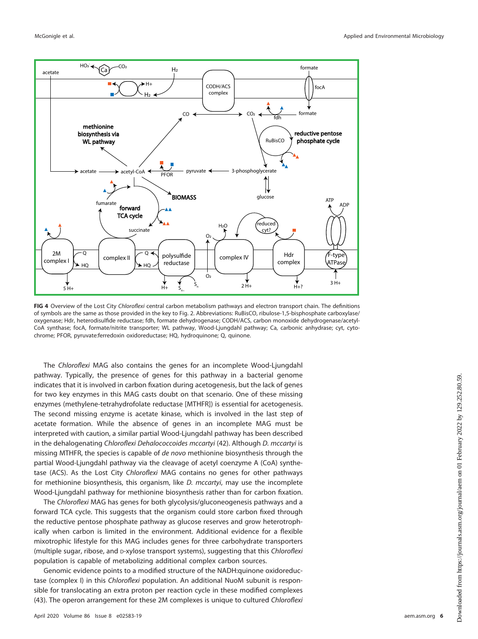

<span id="page-6-0"></span>**FIG 4** Overview of the Lost City Chloroflexi central carbon metabolism pathways and electron transport chain. The definitions of symbols are the same as those provided in the key to [Fig. 2.](#page-4-0) Abbreviations: RuBisCO, ribulose-1,5-bisphosphate carboxylase/ oxygenase; Hdr, heterodisulfide reductase; fdh, formate dehydrogenase; CODH/ACS, carbon monoxide dehydrogenase/acetyl-CoA synthase; focA, formate/nitrite transporter; WL pathway, Wood-Ljungdahl pathway; Ca, carbonic anhydrase; cyt, cytochrome; PFOR, pyruvate:ferredoxin oxidoreductase; HQ, hydroquinone; Q, quinone.

The Chloroflexi MAG also contains the genes for an incomplete Wood-Ljungdahl pathway. Typically, the presence of genes for this pathway in a bacterial genome indicates that it is involved in carbon fixation during acetogenesis, but the lack of genes for two key enzymes in this MAG casts doubt on that scenario. One of these missing enzymes (methylene-tetrahydrofolate reductase [MTHFR]) is essential for acetogenesis. The second missing enzyme is acetate kinase, which is involved in the last step of acetate formation. While the absence of genes in an incomplete MAG must be interpreted with caution, a similar partial Wood-Ljungdahl pathway has been described in the dehalogenating Chloroflexi Dehalococcoides mccartyi [\(42\)](#page-12-5). Although D. mccartyi is missing MTHFR, the species is capable of *de novo* methionine biosynthesis through the partial Wood-Ljungdahl pathway via the cleavage of acetyl coenzyme A (CoA) synthetase (ACS). As the Lost City Chloroflexi MAG contains no genes for other pathways for methionine biosynthesis, this organism, like D. mccartyi, may use the incomplete Wood-Ljungdahl pathway for methionine biosynthesis rather than for carbon fixation.

The Chloroflexi MAG has genes for both glycolysis/gluconeogenesis pathways and a forward TCA cycle. This suggests that the organism could store carbon fixed through the reductive pentose phosphate pathway as glucose reserves and grow heterotrophically when carbon is limited in the environment. Additional evidence for a flexible mixotrophic lifestyle for this MAG includes genes for three carbohydrate transporters (multiple sugar, ribose, and *D-xylose transport systems*), suggesting that this *Chloroflexi* population is capable of metabolizing additional complex carbon sources.

Genomic evidence points to a modified structure of the NADH:quinone oxidoreductase (complex I) in this Chloroflexi population. An additional NuoM subunit is responsible for translocating an extra proton per reaction cycle in these modified complexes [\(43\)](#page-12-6). The operon arrangement for these 2M complexes is unique to cultured Chloroflexi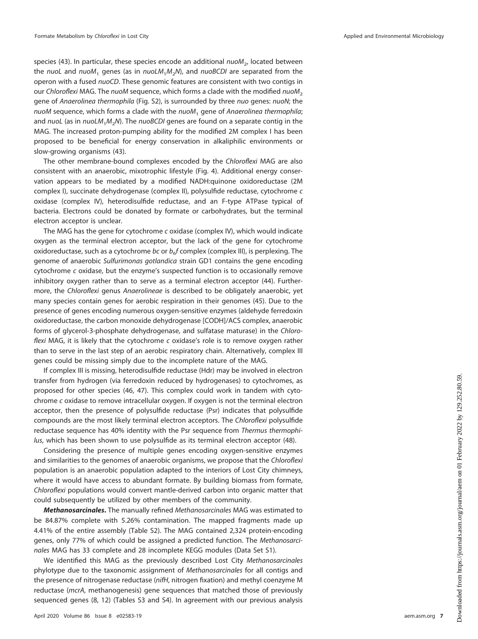species [\(43\)](#page-12-6). In particular, these species encode an additional  $nuom<sub>2</sub>$ , located between the nuoL and nuoM<sub>1</sub> genes (as in nuoLM<sub>1</sub>M<sub>2</sub>N), and nuoBCDI are separated from the operon with a fused nuoCD. These genomic features are consistent with two contigs in our Chloroflexi MAG. The nuoM sequence, which forms a clade with the modified  $nuOM<sub>2</sub>$ gene of Anaerolinea thermophila (Fig. S2), is surrounded by three nuo genes: nuoN; the  $nuOM$  sequence, which forms a clade with the  $nuOM_1$  gene of Anaerolinea thermophila; and nuoL (as in  $nu M_1M_2N$ ). The nuoBCDI genes are found on a separate contig in the MAG. The increased proton-pumping ability for the modified 2M complex I has been proposed to be beneficial for energy conservation in alkaliphilic environments or slow-growing organisms [\(43\)](#page-12-6).

The other membrane-bound complexes encoded by the Chloroflexi MAG are also consistent with an anaerobic, mixotrophic lifestyle [\(Fig. 4\)](#page-6-0). Additional energy conservation appears to be mediated by a modified NADH:quinone oxidoreductase (2M complex I), succinate dehydrogenase (complex II), polysulfide reductase, cytochrome c oxidase (complex IV), heterodisulfide reductase, and an F-type ATPase typical of bacteria. Electrons could be donated by formate or carbohydrates, but the terminal electron acceptor is unclear.

The MAG has the gene for cytochrome c oxidase (complex IV), which would indicate oxygen as the terminal electron acceptor, but the lack of the gene for cytochrome oxidoreductase, such as a cytochrome bc or  $b<sub>e</sub>f$  complex (complex III), is perplexing. The genome of anaerobic Sulfurimonas gotlandica strain GD1 contains the gene encoding cytochrome c oxidase, but the enzyme's suspected function is to occasionally remove inhibitory oxygen rather than to serve as a terminal electron acceptor [\(44\)](#page-12-7). Furthermore, the Chloroflexi genus Anaerolineae is described to be obligately anaerobic, yet many species contain genes for aerobic respiration in their genomes [\(45\)](#page-12-8). Due to the presence of genes encoding numerous oxygen-sensitive enzymes (aldehyde ferredoxin oxidoreductase, the carbon monoxide dehydrogenase [CODH]/ACS complex, anaerobic forms of glycerol-3-phosphate dehydrogenase, and sulfatase maturase) in the Chloroflexi MAG, it is likely that the cytochrome  $c$  oxidase's role is to remove oxygen rather than to serve in the last step of an aerobic respiratory chain. Alternatively, complex III genes could be missing simply due to the incomplete nature of the MAG.

If complex III is missing, heterodisulfide reductase (Hdr) may be involved in electron transfer from hydrogen (via ferredoxin reduced by hydrogenases) to cytochromes, as proposed for other species [\(46,](#page-12-9) [47\)](#page-12-10). This complex could work in tandem with cytochrome c oxidase to remove intracellular oxygen. If oxygen is not the terminal electron acceptor, then the presence of polysulfide reductase (Psr) indicates that polysulfide compounds are the most likely terminal electron acceptors. The Chloroflexi polysulfide reductase sequence has 40% identity with the Psr sequence from Thermus thermophilus, which has been shown to use polysulfide as its terminal electron acceptor [\(48\)](#page-12-11).

Considering the presence of multiple genes encoding oxygen-sensitive enzymes and similarities to the genomes of anaerobic organisms, we propose that the Chloroflexi population is an anaerobic population adapted to the interiors of Lost City chimneys, where it would have access to abundant formate. By building biomass from formate, Chloroflexi populations would convert mantle-derived carbon into organic matter that could subsequently be utilized by other members of the community.

*Methanosarcinales***.** The manually refined Methanosarcinales MAG was estimated to be 84.87% complete with 5.26% contamination. The mapped fragments made up 4.41% of the entire assembly (Table S2). The MAG contained 2,324 protein-encoding genes, only 77% of which could be assigned a predicted function. The Methanosarcinales MAG has 33 complete and 28 incomplete KEGG modules (Data Set S1).

We identified this MAG as the previously described Lost City Methanosarcinales phylotype due to the taxonomic assignment of Methanosarcinales for all contigs and the presence of nitrogenase reductase (nifH, nitrogen fixation) and methyl coenzyme M reductase (mcrA, methanogenesis) gene sequences that matched those of previously sequenced genes [\(8,](#page-11-5) [12\)](#page-11-10) (Tables S3 and S4). In agreement with our previous analysis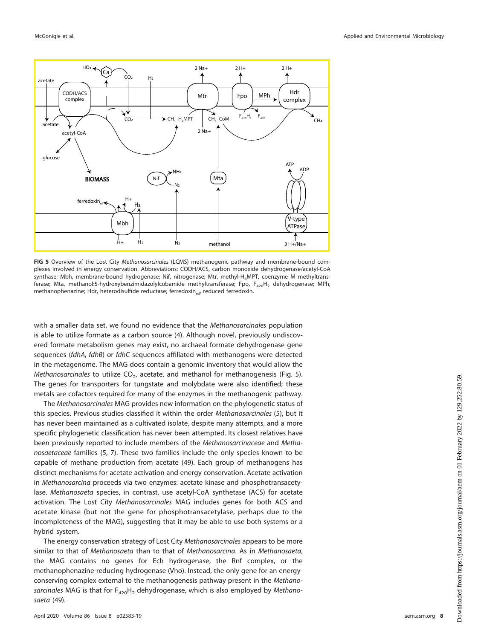

<span id="page-8-0"></span>FIG 5 Overview of the Lost City Methanosarcinales (LCMS) methanogenic pathway and membrane-bound complexes involved in energy conservation. Abbreviations: CODH/ACS, carbon monoxide dehydrogenase/acetyl-CoA synthase; Mbh, membrane-bound hydrogenase; Nif, nitrogenase; Mtr, methyl-H<sub>4</sub>MPT, coenzyme M methyltransferase; Mta, methanol:5-hydroxybenzimidazolylcobamide methyltransferase; Fpo, F<sub>420</sub>H<sub>2</sub> dehydrogenase; MPh, methanophenazine; Hdr, heterodisulfide reductase; ferredoxin<sub>rd</sub>, reduced ferredoxin.

with a smaller data set, we found no evidence that the Methanosarcinales population is able to utilize formate as a carbon source [\(4\)](#page-11-3). Although novel, previously undiscovered formate metabolism genes may exist, no archaeal formate dehydrogenase gene sequences (fdhA, fdhB) or fdhC sequences affiliated with methanogens were detected in the metagenome. The MAG does contain a genomic inventory that would allow the *Methanosarcinales* to utilize  $CO<sub>2</sub>$ , acetate, and methanol for methanogenesis [\(Fig. 5\)](#page-8-0). The genes for transporters for tungstate and molybdate were also identified; these metals are cofactors required for many of the enzymes in the methanogenic pathway.

The Methanosarcinales MAG provides new information on the phylogenetic status of this species. Previous studies classified it within the order Methanosarcinales [\(5\)](#page-11-7), but it has never been maintained as a cultivated isolate, despite many attempts, and a more specific phylogenetic classification has never been attempted. Its closest relatives have been previously reported to include members of the Methanosarcinaceae and Methanosaetaceae families [\(5,](#page-11-7) [7\)](#page-11-4). These two families include the only species known to be capable of methane production from acetate [\(49\)](#page-12-12). Each group of methanogens has distinct mechanisms for acetate activation and energy conservation. Acetate activation in Methanosarcina proceeds via two enzymes: acetate kinase and phosphotransacetylase. Methanosaeta species, in contrast, use acetyl-CoA synthetase (ACS) for acetate activation. The Lost City Methanosarcinales MAG includes genes for both ACS and acetate kinase (but not the gene for phosphotransacetylase, perhaps due to the incompleteness of the MAG), suggesting that it may be able to use both systems or a hybrid system.

The energy conservation strategy of Lost City Methanosarcinales appears to be more similar to that of Methanosaeta than to that of Methanosarcina. As in Methanosaeta, the MAG contains no genes for Ech hydrogenase, the Rnf complex, or the methanophenazine-reducing hydrogenase (Vho). Instead, the only gene for an energyconserving complex external to the methanogenesis pathway present in the Methanosarcinales MAG is that for  $F_{420}H_2$  dehydrogenase, which is also employed by Methanosaeta [\(49\)](#page-12-12).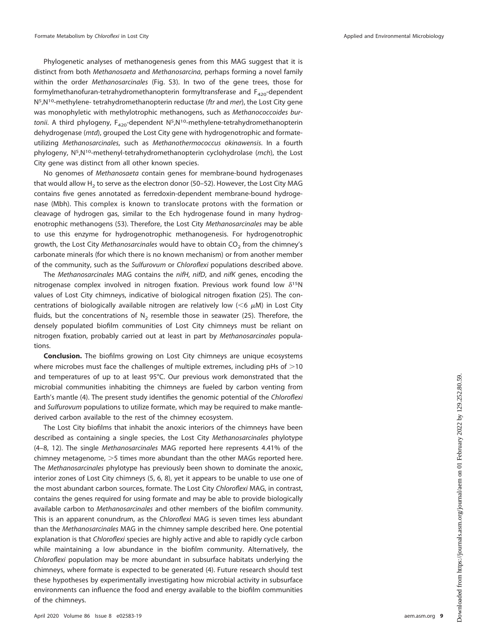Phylogenetic analyses of methanogenesis genes from this MAG suggest that it is distinct from both Methanosaeta and Methanosarcina, perhaps forming a novel family within the order Methanosarcinales (Fig. S3). In two of the gene trees, those for formylmethanofuran-tetrahydromethanopterin formyltransferase and  $F_{420}$ -dependent N<sup>5</sup>,N<sup>10</sup>-methylene- tetrahydromethanopterin reductase (ftr and mer), the Lost City gene was monophyletic with methylotrophic methanogens, such as Methanococcoides burtonii. A third phylogeny,  $F_{420}$ -dependent N<sup>5</sup>,N<sup>10</sup>-methylene-tetrahydromethanopterin dehydrogenase (mtd), grouped the Lost City gene with hydrogenotrophic and formateutilizing Methanosarcinales, such as Methanothermococcus okinawensis. In a fourth phylogeny,  $N^5$ , $N^{10}$ -methenyl-tetrahydromethanopterin cyclohydrolase (*mch*), the Lost City gene was distinct from all other known species.

No genomes of Methanosaeta contain genes for membrane-bound hydrogenases that would allow  $H_2$  to serve as the electron donor [\(50](#page-12-13)[–](#page-12-14)[52\)](#page-12-15). However, the Lost City MAG contains five genes annotated as ferredoxin-dependent membrane-bound hydrogenase (Mbh). This complex is known to translocate protons with the formation or cleavage of hydrogen gas, similar to the Ech hydrogenase found in many hydrogenotrophic methanogens [\(53\)](#page-12-16). Therefore, the Lost City Methanosarcinales may be able to use this enzyme for hydrogenotrophic methanogenesis. For hydrogenotrophic growth, the Lost City Methanosarcinales would have to obtain  $CO<sub>2</sub>$  from the chimney's carbonate minerals (for which there is no known mechanism) or from another member of the community, such as the Sulfurovum or Chloroflexi populations described above.

The Methanosarcinales MAG contains the nifH, nifD, and nifK genes, encoding the nitrogenase complex involved in nitrogen fixation. Previous work found low  $\delta^{15}N$ values of Lost City chimneys, indicative of biological nitrogen fixation [\(25\)](#page-11-23). The concentrations of biologically available nitrogen are relatively low ( $<$ 6  $\mu$ M) in Lost City fluids, but the concentrations of  $N<sub>2</sub>$  resemble those in seawater [\(25\)](#page-11-23). Therefore, the densely populated biofilm communities of Lost City chimneys must be reliant on nitrogen fixation, probably carried out at least in part by Methanosarcinales populations.

**Conclusion.** The biofilms growing on Lost City chimneys are unique ecosystems where microbes must face the challenges of multiple extremes, including pHs of  $>$ 10 and temperatures of up to at least 95°C. Our previous work demonstrated that the microbial communities inhabiting the chimneys are fueled by carbon venting from Earth's mantle [\(4\)](#page-11-3). The present study identifies the genomic potential of the Chloroflexi and Sulfurovum populations to utilize formate, which may be required to make mantlederived carbon available to the rest of the chimney ecosystem.

The Lost City biofilms that inhabit the anoxic interiors of the chimneys have been described as containing a single species, the Lost City Methanosarcinales phylotype [\(4](#page-11-3)[–](#page-11-4)[8,](#page-11-5) [12\)](#page-11-10). The single Methanosarcinales MAG reported here represents 4.41% of the chimney metagenome,  $>5$  times more abundant than the other MAGs reported here. The Methanosarcinales phylotype has previously been shown to dominate the anoxic, interior zones of Lost City chimneys [\(5,](#page-11-7) [6,](#page-11-18) [8\)](#page-11-5), yet it appears to be unable to use one of the most abundant carbon sources, formate. The Lost City Chloroflexi MAG, in contrast, contains the genes required for using formate and may be able to provide biologically available carbon to Methanosarcinales and other members of the biofilm community. This is an apparent conundrum, as the Chloroflexi MAG is seven times less abundant than the Methanosarcinales MAG in the chimney sample described here. One potential explanation is that Chloroflexi species are highly active and able to rapidly cycle carbon while maintaining a low abundance in the biofilm community. Alternatively, the Chloroflexi population may be more abundant in subsurface habitats underlying the chimneys, where formate is expected to be generated [\(4\)](#page-11-3). Future research should test these hypotheses by experimentally investigating how microbial activity in subsurface environments can influence the food and energy available to the biofilm communities of the chimneys.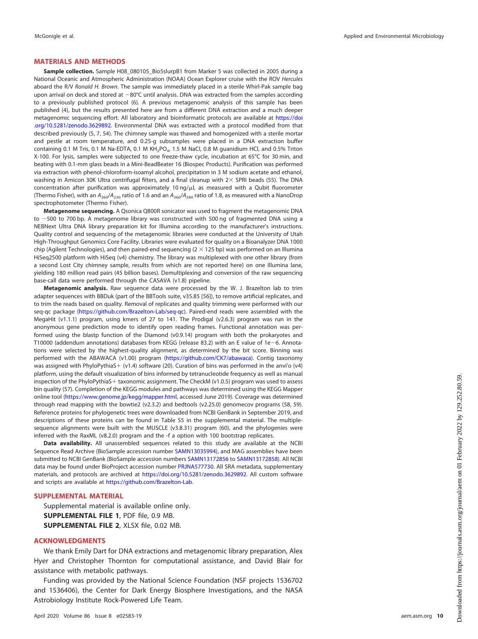### **MATERIALS AND METHODS**

**Sample collection.** Sample H08\_080105\_Bio5slurpB1 from Marker 5 was collected in 2005 during a National Oceanic and Atmospheric Administration (NOAA) Ocean Explorer cruise with the ROV Hercules aboard the R/V Ronald H. Brown. The sample was immediately placed in a sterile Whirl-Pak sample bag upon arrival on deck and stored at  $-80^{\circ}$ C until analysis. DNA was extracted from the samples according to a previously published protocol [\(6\)](#page-11-18). A previous metagenomic analysis of this sample has been published [\(4\)](#page-11-3), but the results presented here are from a different DNA extraction and a much deeper metagenomic sequencing effort. All laboratory and bioinformatic protocols are available at [https://doi](https://doi.org/10.5281/zenodo.3629892) [.org/10.5281/zenodo.3629892.](https://doi.org/10.5281/zenodo.3629892) Environmental DNA was extracted with a protocol modified from that described previously [\(5,](#page-11-7) [7,](#page-11-4) [54\)](#page-12-17). The chimney sample was thawed and homogenized with a sterile mortar and pestle at room temperature, and 0.25-g subsamples were placed in a DNA extraction buffer containing 0.1 M Tris, 0.1 M Na-EDTA, 0.1 M KH<sub>2</sub>PO<sub>4</sub>, 1.5 M NaCl, 0.8 M guanidium HCl, and 0.5% Triton X-100. For lysis, samples were subjected to one freeze-thaw cycle, incubation at 65°C for 30 min, and beating with 0.1-mm glass beads in a Mini-BeadBeater 16 (Biospec Products). Purification was performed via extraction with phenol-chloroform-isoamyl alcohol, precipitation in 3 M sodium acetate and ethanol, washing in Amicon 30K Ultra centrifugal filters, and a final cleanup with  $2\times$  SPRI beads [\(55\)](#page-12-18). The DNA concentration after purification was approximately 10  $\frac{mg}{\mu}$ , as measured with a Qubit fluorometer (Thermo Fisher), with an  $A_{260}/A_{230}$  ratio of 1.6 and an  $A_{260}/A_{280}$  ratio of 1.8, as measured with a NanoDrop spectrophotometer (Thermo Fisher).

**Metagenome sequencing.** A Qsonica Q800R sonicator was used to fragment the metagenomic DNA to  $\sim$  500 to 700 bp. A metagenome library was constructed with 500 ng of fragmented DNA using a NEBNext Ultra DNA library preparation kit for Illumina according to the manufacturer's instructions. Quality control and sequencing of the metagenomic libraries were conducted at the University of Utah High-Throughput Genomics Core Facility. Libraries were evaluated for quality on a Bioanalyzer DNA 1000 chip (Agilent Technologies), and then paired-end sequencing  $(2 \times 125$  bp) was performed on an Illumina HiSeq2500 platform with HiSeq (v4) chemistry. The library was multiplexed with one other library (from a second Lost City chimney sample, results from which are not reported here) on one Illumina lane, yielding 180 million read pairs (45 billion bases). Demultiplexing and conversion of the raw sequencing base-call data were performed through the CASAVA (v1.8) pipeline.

**Metagenomic analysis.** Raw sequence data were processed by the W. J. Brazelton lab to trim adapter sequences with BBDuk (part of the BBTools suite, v35.85 [\[56\]](#page-12-19)), to remove artificial replicates, and to trim the reads based on quality. Removal of replicates and quality trimming were performed with our seq-qc package [\(https://github.com/Brazelton-Lab/seq-qc\)](https://github.com/Brazelton-Lab/seq-qc). Paired-end reads were assembled with the MegaHit (v1.1.1) program, using kmers of 27 to 141. The Prodigal (v2.6.3) program was run in the anonymous gene prediction mode to identify open reading frames. Functional annotation was performed using the blastp function of the Diamond (v0.9.14) program with both the prokaryotes and T10000 (addendum annotations) databases from KEGG (release 83.2) with an E value of 1e-6. Annotations were selected by the highest-quality alignment, as determined by the bit score. Binning was performed with the ABAWACA (v1.00) program [\(https://github.com/CK7/abawaca\)](https://github.com/CK7/abawaca). Contig taxonomy was assigned with PhyloPythiaS + (v1.4) software [\(20\)](#page-11-17). Curation of bins was performed in the anvi'o (v4) platform, using the default visualization of bins informed by tetranucleotide frequency as well as manual inspection of the PhyloPythiaS + taxonomic assignment. The CheckM (v1.0.5) program was used to assess bin quality [\(57\)](#page-12-20). Completion of the KEGG modules and pathways was determined using the KEGG Mapper online tool [\(https://www.genome.jp/kegg/mapper.html,](https://www.genome.jp/kegg/mapper.html) accessed June 2019). Coverage was determined through read mapping with the bowtie2 (v2.3.2) and bedtools (v2.25.0) genomecov programs [\(58,](#page-12-21) [59\)](#page-12-22). Reference proteins for phylogenetic trees were downloaded from NCBI GenBank in September 2019, and descriptions of these proteins can be found in Table S5 in the supplemental material. The multiplesequence alignments were built with the MUSCLE (v3.8.31) program [\(60\)](#page-12-23), and the phylogenies were inferred with the RaxML (v8.2.0) program and the -f a option with 100 bootstrap replicates.

**Data availability.** All unassembled sequences related to this study are available at the NCBI Sequence Read Archive (BioSample accession number [SAMN13035994\)](https://www.ncbi.nlm.nih.gov/biosample/SAMN13035994), and MAG assemblies have been submitted to NCBI GenBank (BioSample accession numbers [SAMN13172856](https://www.ncbi.nlm.nih.gov/biosample/SAMN13172856) to [SAMN13172858\)](https://www.ncbi.nlm.nih.gov/biosample/SAMN13172858). All NCBI data may be found under BioProject accession number [PRJNA577730.](https://www.ncbi.nlm.nih.gov/bioproject/?term=PRJNA577730) All SRA metadata, supplementary materials, and protocols are archived at [https://doi.org/10.5281/zenodo.3629892.](https://doi.org/10.5281/zenodo.3629892) All custom software and scripts are available at [https://github.com/Brazelton-Lab.](https://github.com/Brazelton-Lab)

#### **SUPPLEMENTAL MATERIAL**

Supplemental material is available online only. **SUPPLEMENTAL FILE 1**, PDF file, 0.9 MB. **SUPPLEMENTAL FILE 2**, XLSX file, 0.02 MB.

#### **ACKNOWLEDGMENTS**

We thank Emily Dart for DNA extractions and metagenomic library preparation, Alex Hyer and Christopher Thornton for computational assistance, and David Blair for assistance with metabolic pathways.

Funding was provided by the National Science Foundation (NSF projects 1536702 and 1536406), the Center for Dark Energy Biosphere Investigations, and the NASA Astrobiology Institute Rock-Powered Life Team.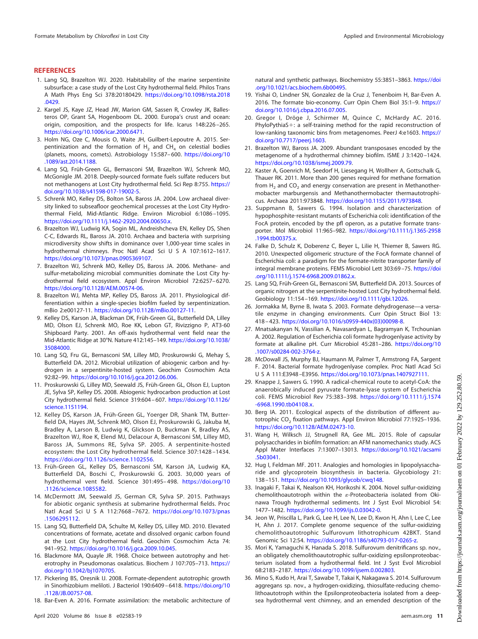#### <span id="page-11-0"></span>**REFERENCES**

- 1. Lang SQ, Brazelton WJ. 2020. Habitability of the marine serpentinite subsurface: a case study of the Lost City hydrothermal field. Philos Trans A Math Phys Eng Sci 378:20180429. [https://doi.org/10.1098/rsta.2018](https://doi.org/10.1098/rsta.2018.0429) [.0429.](https://doi.org/10.1098/rsta.2018.0429)
- <span id="page-11-1"></span>2. Kargel JS, Kaye JZ, Head JW, Marion GM, Sassen R, Crowley JK, Ballesteros OP, Grant SA, Hogenboom DL. 2000. Europa's crust and ocean: origin, composition, and the prospects for life. Icarus 148:226 –265. [https://doi.org/10.1006/icar.2000.6471.](https://doi.org/10.1006/icar.2000.6471)
- <span id="page-11-2"></span>3. Holm NG, Oze C, Mousis O, Waite JH, Guilbert-Lepoutre A. 2015. Serpentinization and the formation of  $H_2$  and CH<sub>4</sub> on celestial bodies (planets, moons, comets). Astrobiology 15:587– 600. [https://doi.org/10](https://doi.org/10.1089/ast.2014.1188) [.1089/ast.2014.1188.](https://doi.org/10.1089/ast.2014.1188)
- <span id="page-11-3"></span>4. Lang SQ, Früh-Green GL, Bernasconi SM, Brazelton WJ, Schrenk MO, McGonigle JM. 2018. Deeply-sourced formate fuels sulfate reducers but not methanogens at Lost City hydrothermal field. Sci Rep 8:755. [https://](https://doi.org/10.1038/s41598-017-19002-5) [doi.org/10.1038/s41598-017-19002-5.](https://doi.org/10.1038/s41598-017-19002-5)
- <span id="page-11-7"></span>5. Schrenk MO, Kelley DS, Bolton SA, Baross JA. 2004. Low archaeal diversity linked to subseafloor geochemical processes at the Lost City Hydrothermal Field, Mid-Atlantic Ridge. Environ Microbiol 6:1086 –1095. [https://doi.org/10.1111/j.1462-2920.2004.00650.x.](https://doi.org/10.1111/j.1462-2920.2004.00650.x)
- <span id="page-11-18"></span>6. Brazelton WJ, Ludwig KA, Sogin ML, Andreishcheva EN, Kelley DS, Shen C-C, Edwards RL, Baross JA. 2010. Archaea and bacteria with surprising microdiversity show shifts in dominance over 1,000-year time scales in hydrothermal chimneys. Proc Natl Acad Sci U S A 107:1612-1617. [https://doi.org/10.1073/pnas.0905369107.](https://doi.org/10.1073/pnas.0905369107)
- <span id="page-11-4"></span>7. Brazelton WJ, Schrenk MO, Kelley DS, Baross JA. 2006. Methane- and sulfur-metabolizing microbial communities dominate the Lost City hydrothermal field ecosystem. Appl Environ Microbiol 72:6257– 6270. [https://doi.org/10.1128/AEM.00574-06.](https://doi.org/10.1128/AEM.00574-06)
- <span id="page-11-5"></span>8. Brazelton WJ, Mehta MP, Kelley DS, Baross JA. 2011. Physiological differentiation within a single-species biofilm fueled by serpentinization. mBio 2:e00127-11. [https://doi.org/10.1128/mBio.00127-11.](https://doi.org/10.1128/mBio.00127-11)
- <span id="page-11-6"></span>9. Kelley DS, Karson JA, Blackman DK, Früh-Green GL, Butterfield DA, Lilley MD, Olson EJ, Schrenk MO, Roe KK, Lebon GT, Rivizzigno P, AT3-60 Shipboard Party. 2001. An off-axis hydrothermal vent field near the Mid-Atlantic Ridge at 30°N. Nature 412:145–149. [https://doi.org/10.1038/](https://doi.org/10.1038/35084000) [35084000.](https://doi.org/10.1038/35084000)
- <span id="page-11-8"></span>10. Lang SQ, Fru GL, Bernasconi SM, Lilley MD, Proskurowski G, Mehay S, Butterfield DA. 2012. Microbial utilization of abiogenic carbon and hydrogen in a serpentinite-hosted system. Geochim Cosmochim Acta 92:82–99. [https://doi.org/10.1016/j.gca.2012.06.006.](https://doi.org/10.1016/j.gca.2012.06.006)
- <span id="page-11-9"></span>11. Proskurowski G, Lilley MD, Seewald JS, Früh-Green GL, Olson EJ, Lupton JE, Sylva SP, Kelley DS. 2008. Abiogenic hydrocarbon production at Lost City hydrothermal field. Science 319:604 – 607. [https://doi.org/10.1126/](https://doi.org/10.1126/science.1151194) [science.1151194.](https://doi.org/10.1126/science.1151194)
- <span id="page-11-10"></span>12. Kelley DS, Karson JA, Früh-Green GL, Yoerger DR, Shank TM, Butterfield DA, Hayes JM, Schrenk MO, Olson EJ, Proskurowski G, Jakuba M, Bradley A, Larson B, Ludwig K, Glickson D, Buckman K, Bradley AS, Brazelton WJ, Roe K, Elend MJ, Delacour A, Bernasconi SM, Lilley MD, Baross JA, Summons RE, Sylva SP. 2005. A serpentinite-hosted ecosystem: the Lost City hydrothermal field. Science 307:1428 –1434. [https://doi.org/10.1126/science.1102556.](https://doi.org/10.1126/science.1102556)
- <span id="page-11-11"></span>13. Früh-Green GL, Kelley DS, Bernasconi SM, Karson JA, Ludwig KA, Butterfield DA, Boschi C, Proskurowski G. 2003. 30,000 years of hydrothermal vent field. Science 301:495– 498. [https://doi.org/10](https://doi.org/10.1126/science.1085582) [.1126/science.1085582.](https://doi.org/10.1126/science.1085582)
- <span id="page-11-12"></span>14. McDermott JM, Seewald JS, German CR, Sylva SP. 2015. Pathways for abiotic organic synthesis at submarine hydrothermal fields. Proc Natl Acad Sci U S A 112:7668-7672. [https://doi.org/10.1073/pnas](https://doi.org/10.1073/pnas.1506295112) [.1506295112.](https://doi.org/10.1073/pnas.1506295112)
- <span id="page-11-13"></span>15. Lang SQ, Butterfield DA, Schulte M, Kelley DS, Lilley MD. 2010. Elevated concentrations of formate, acetate and dissolved organic carbon found at the Lost City hydrothermal field. Geochim Cosmochim Acta 74: 941–952. [https://doi.org/10.1016/j.gca.2009.10.045.](https://doi.org/10.1016/j.gca.2009.10.045)
- <span id="page-11-14"></span>16. Blackmore MA, Quayle JR. 1968. Choice between autotrophy and heterotrophy in Pseudomonas oxalaticus. Biochem J 107:705-713. [https://](https://doi.org/10.1042/bj1070705) [doi.org/10.1042/bj1070705.](https://doi.org/10.1042/bj1070705)
- <span id="page-11-15"></span>17. Pickering BS, Oresnik IJ. 2008. Formate-dependent autotrophic growth in Sinorhizobium meliloti. J Bacteriol 190:6409 – 6418. [https://doi.org/10](https://doi.org/10.1128/JB.00757-08) [.1128/JB.00757-08.](https://doi.org/10.1128/JB.00757-08)
- 18. Bar-Even A. 2016. Formate assimilation: the metabolic architecture of

natural and synthetic pathways. Biochemistry 55:3851–3863. [https://doi](https://doi.org/10.1021/acs.biochem.6b00495) [.org/10.1021/acs.biochem.6b00495.](https://doi.org/10.1021/acs.biochem.6b00495)

- <span id="page-11-16"></span>19. Yishai O, Lindner SN, Gonzalez de la Cruz J, Tenenboim H, Bar-Even A. 2016. The formate bio-economy. Curr Opin Chem Biol 35:1–9. [https://](https://doi.org/10.1016/j.cbpa.2016.07.005) [doi.org/10.1016/j.cbpa.2016.07.005.](https://doi.org/10.1016/j.cbpa.2016.07.005)
- <span id="page-11-17"></span>20. Gregor I, Dröge J, Schirmer M, Quince C, McHardy AC. 2016. PhyloPythiaS+: a self-training method for the rapid reconstruction of low-ranking taxonomic bins from metagenomes. PeerJ 4:e1603. [https://](https://doi.org/10.7717/peerj.1603) [doi.org/10.7717/peerj.1603.](https://doi.org/10.7717/peerj.1603)
- <span id="page-11-19"></span>21. Brazelton WJ, Baross JA. 2009. Abundant transposases encoded by the metagenome of a hydrothermal chimney biofilm. ISME J 3:1420 –1424. [https://doi.org/10.1038/ismej.2009.79.](https://doi.org/10.1038/ismej.2009.79)
- <span id="page-11-20"></span>22. Kaster A, Goenrich M, Seedorf H, Liesegang H, Wollherr A, Gottschalk G, Thauer RK. 2011. More than 200 genes required for methane formation from  $H<sub>2</sub>$  and CO<sub>2</sub> and energy conservation are present in Methanothermobacter marburgensis and Methanothermobacter thermautotrophicus. Archaea 2011:973848. [https://doi.org/10.1155/2011/973848.](https://doi.org/10.1155/2011/973848)
- <span id="page-11-21"></span>23. Suppmann B, Sawers G. 1994. Isolation and characterization of hypophosphite-resistant mutants of Escherichia coli: identification of the FocA protein, encoded by the pfl operon, as a putative formate transporter. Mol Microbiol 11:965–982. [https://doi.org/10.1111/j.1365-2958](https://doi.org/10.1111/j.1365-2958.1994.tb00375.x) [.1994.tb00375.x.](https://doi.org/10.1111/j.1365-2958.1994.tb00375.x)
- <span id="page-11-22"></span>24. Falke D, Schulz K, Doberenz C, Beyer L, Lilie H, Thiemer B, Sawers RG. 2010. Unexpected oligomeric structure of the FocA formate channel of Escherichia coli: a paradigm for the formate-nitrite transporter family of integral membrane proteins. FEMS Microbiol Lett 303:69 –75. [https://doi](https://doi.org/10.1111/j.1574-6968.2009.01862.x) [.org/10.1111/j.1574-6968.2009.01862.x.](https://doi.org/10.1111/j.1574-6968.2009.01862.x)
- <span id="page-11-23"></span>25. Lang SQ, Früh-Green GL, Bernasconi SM, Butterfield DA. 2013. Sources of organic nitrogen at the serpentinite-hosted Lost City hydrothermal field. Geobiology 11:154 –169. [https://doi.org/10.1111/gbi.12026.](https://doi.org/10.1111/gbi.12026)
- <span id="page-11-24"></span>26. Jormakka M, Byrne B, Iwata S. 2003. Formate dehydrogenase—a versatile enzyme in changing environments. Curr Opin Struct Biol 13: 418 – 423. [https://doi.org/10.1016/s0959-440x\(03\)00098-8.](https://doi.org/10.1016/s0959-440x(03)00098-8)
- <span id="page-11-25"></span>27. Mnatsakanyan N, Vassilian A, Navasardyan L, Bagramyan K, Trchounian A. 2002. Regulation of Escherichia coli formate hydrogenlyase activity by formate at alkaline pH. Curr Microbiol 45:281–286. [https://doi.org/10](https://doi.org/10.1007/s00284-002-3764-z) [.1007/s00284-002-3764-z.](https://doi.org/10.1007/s00284-002-3764-z)
- <span id="page-11-26"></span>28. McDowall JS, Murphy BJ, Haumann M, Palmer T, Armstrong FA, Sargent F. 2014. Bacterial formate hydrogenlyase complex. Proc Natl Acad Sci U S A 111:E3948 –E3956. [https://doi.org/10.1073/pnas.1407927111.](https://doi.org/10.1073/pnas.1407927111)
- <span id="page-11-27"></span>29. Knappe J, Sawers G. 1990. A radical-chemical route to acetyl-CoA: the anaerobically induced pyruvate formate-lyase system of Escherichia coli. FEMS Microbiol Rev 75:383–398. [https://doi.org/10.1111/j.1574](https://doi.org/10.1111/j.1574-6968.1990.tb04108.x) [-6968.1990.tb04108.x.](https://doi.org/10.1111/j.1574-6968.1990.tb04108.x)
- <span id="page-11-29"></span><span id="page-11-28"></span>30. Berg IA. 2011. Ecological aspects of the distribution of different autotrophic CO<sub>2</sub> fixation pathways. Appl Environ Microbiol 77:1925-1936. [https://doi.org/10.1128/AEM.02473-10.](https://doi.org/10.1128/AEM.02473-10)
- 31. Wang H, Wilksch JJ, Strugnell RA, Gee ML. 2015. Role of capsular polysaccharides in biofilm formation: an AFM nanomechanics study. ACS Appl Mater Interfaces 7:13007–13013. [https://doi.org/10.1021/acsami](https://doi.org/10.1021/acsami.5b03041) [.5b03041.](https://doi.org/10.1021/acsami.5b03041)
- <span id="page-11-31"></span><span id="page-11-30"></span>32. Hug I, Feldman MF. 2011. Analogies and homologies in lipopolysaccharide and glycoprotein biosynthesis in bacteria. Glycobiology 21: 138 –151. [https://doi.org/10.1093/glycob/cwq148.](https://doi.org/10.1093/glycob/cwq148)
- 33. Inagaki F, Takai K, Nealson KH, Horikoshi K. 2004. Novel sulfur-oxidizing chemolithoautotroph within the  $\varepsilon$ -Proteobacteria isolated from Okinawa Trough hydrothermal sediments. Int J Syst Evol Microbiol 54: 1477–1482. [https://doi.org/10.1099/ijs.0.03042-0.](https://doi.org/10.1099/ijs.0.03042-0)
- <span id="page-11-32"></span>34. Jeon W, Priscilla L, Park G, Lee H, Lee N, Lee D, Kwon H, Ahn I, Lee C, Lee H, Ahn J. 2017. Complete genome sequence of the sulfur-oxidizing chemolithoautotrophic Sulfurovum lithotrophicum 42BKT. Stand Genomic Sci 12:54. [https://doi.org/10.1186/s40793-017-0265-z.](https://doi.org/10.1186/s40793-017-0265-z)
- <span id="page-11-33"></span>35. Mori K, Yamaguchi K, Hanada S. 2018. Sulfurovum denitrificans sp. nov., an obligately chemolithoautotrophic sulfur-oxidizing epsilonproteobacterium isolated from a hydrothermal field. Int J Syst Evol Microbiol 68:2183–2187. [https://doi.org/10.1099/ijsem.0.002803.](https://doi.org/10.1099/ijsem.0.002803)
- <span id="page-11-34"></span>36. Mino S, Kudo H, Arai T, Sawabe T, Takai K, Nakagawa S. 2014. Sulfurovum aggregans sp. nov., a hydrogen-oxidizing, thiosulfate-reducing chemolithoautotroph within the Epsilonproteobacteria isolated from a deepsea hydrothermal vent chimney, and an emended description of the